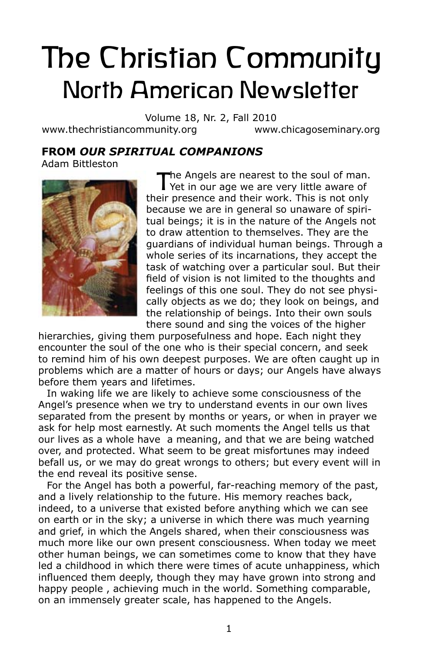# The Christian Community North American Newsletter

Volume 18, Nr. 2, Fall 2010 www.thechristiancommunity.org www.chicagoseminary.org

# **From** *Our Spiritual Companions*

Adam Bittleston



The Angels are nearest to the soul of man.<br>
Yet in our age we are very little aware of their presence and their work. This is not only because we are in general so unaware of spiritual beings; it is in the nature of the Angels not to draw attention to themselves. They are the guardians of individual human beings. Through a whole series of its incarnations, they accept the task of watching over a particular soul. But their field of vision is not limited to the thoughts and feelings of this one soul. They do not see physically objects as we do; they look on beings, and the relationship of beings. Into their own souls there sound and sing the voices of the higher

hierarchies, giving them purposefulness and hope. Each night they encounter the soul of the one who is their special concern, and seek to remind him of his own deepest purposes. We are often caught up in problems which are a matter of hours or days; our Angels have always before them years and lifetimes.

In waking life we are likely to achieve some consciousness of the Angel's presence when we try to understand events in our own lives separated from the present by months or years, or when in prayer we ask for help most earnestly. At such moments the Angel tells us that our lives as a whole have a meaning, and that we are being watched over, and protected. What seem to be great misfortunes may indeed befall us, or we may do great wrongs to others; but every event will in the end reveal its positive sense.

For the Angel has both a powerful, far-reaching memory of the past, and a lively relationship to the future. His memory reaches back, indeed, to a universe that existed before anything which we can see on earth or in the sky; a universe in which there was much yearning and grief, in which the Angels shared, when their consciousness was much more like our own present consciousness. When today we meet other human beings, we can sometimes come to know that they have led a childhood in which there were times of acute unhappiness, which influenced them deeply, though they may have grown into strong and happy people , achieving much in the world. Something comparable, on an immensely greater scale, has happened to the Angels.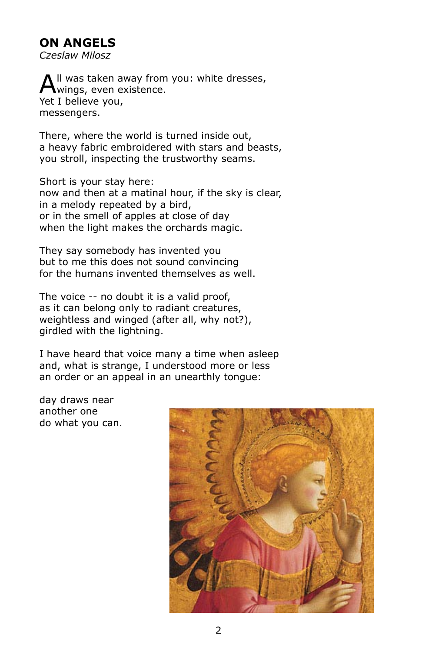## **On Angels**

*Czeslaw Milosz* 

Il was taken away from you: white dresses, wings, even existence. Yet I believe you, messengers.

There, where the world is turned inside out, a heavy fabric embroidered with stars and beasts, you stroll, inspecting the trustworthy seams.

Short is your stay here: now and then at a matinal hour, if the sky is clear, in a melody repeated by a bird, or in the smell of apples at close of day when the light makes the orchards magic.

They say somebody has invented you but to me this does not sound convincing for the humans invented themselves as well.

The voice -- no doubt it is a valid proof, as it can belong only to radiant creatures, weightless and winged (after all, why not?), girdled with the lightning.

I have heard that voice many a time when asleep and, what is strange, I understood more or less an order or an appeal in an unearthly tongue:

day draws near another one do what you can.

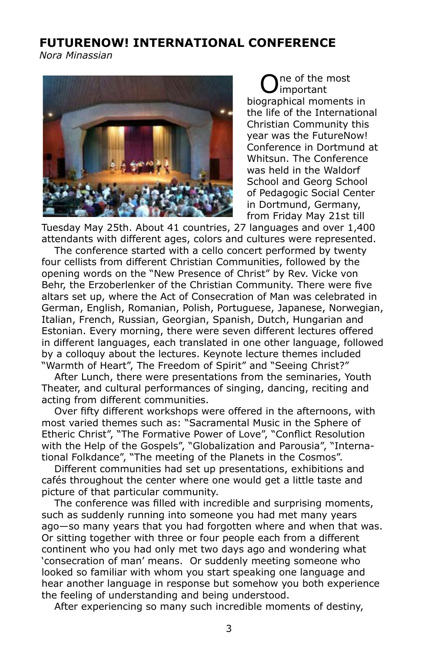## **FUTURENOW! INTERNATIONAL CONFERENCE**

*Nora Minassian*



ne of the most important biographical moments in the life of the International Christian Community this year was the FutureNow! Conference in Dortmund at Whitsun. The Conference was held in the Waldorf School and Georg School of Pedagogic Social Center in Dortmund, Germany, from Friday May 21st till

Tuesday May 25th. About 41 countries, 27 languages and over 1,400 attendants with different ages, colors and cultures were represented.

The conference started with a cello concert performed by twenty four cellists from different Christian Communities, followed by the opening words on the "New Presence of Christ" by Rev. Vicke von Behr, the Erzoberlenker of the Christian Community. There were five altars set up, where the Act of Consecration of Man was celebrated in German, English, Romanian, Polish, Portuguese, Japanese, Norwegian, Italian, French, Russian, Georgian, Spanish, Dutch, Hungarian and Estonian. Every morning, there were seven different lectures offered in different languages, each translated in one other language, followed by a colloquy about the lectures. Keynote lecture themes included "Warmth of Heart", The Freedom of Spirit" and "Seeing Christ?"

After Lunch, there were presentations from the seminaries, Youth Theater, and cultural performances of singing, dancing, reciting and acting from different communities.

Over fifty different workshops were offered in the afternoons, with most varied themes such as: "Sacramental Music in the Sphere of Etheric Christ", "The Formative Power of Love", "Conflict Resolution with the Help of the Gospels", "Globalization and Parousia", "International Folkdance", "The meeting of the Planets in the Cosmos".

Different communities had set up presentations, exhibitions and cafés throughout the center where one would get a little taste and picture of that particular community.

The conference was filled with incredible and surprising moments, such as suddenly running into someone you had met many years ago—so many years that you had forgotten where and when that was. Or sitting together with three or four people each from a different continent who you had only met two days ago and wondering what 'consecration of man' means. Or suddenly meeting someone who looked so familiar with whom you start speaking one language and hear another language in response but somehow you both experience the feeling of understanding and being understood.

After experiencing so many such incredible moments of destiny,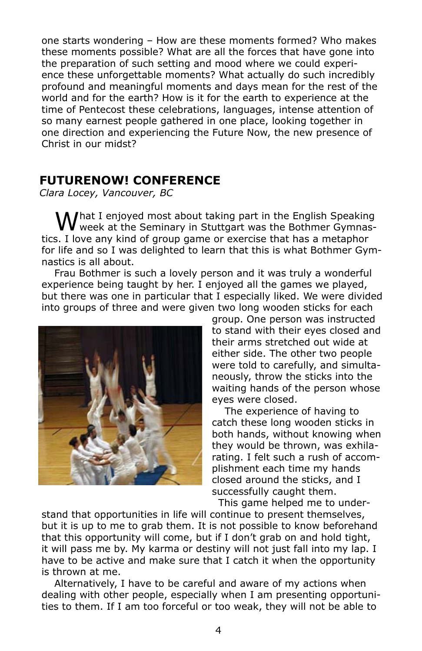one starts wondering – How are these moments formed? Who makes these moments possible? What are all the forces that have gone into the preparation of such setting and mood where we could experience these unforgettable moments? What actually do such incredibly profound and meaningful moments and days mean for the rest of the world and for the earth? How is it for the earth to experience at the time of Pentecost these celebrations, languages, intense attention of so many earnest people gathered in one place, looking together in one direction and experiencing the Future Now, the new presence of Christ in our midst?

#### **FUTURENOW! CONFERENCE**

*Clara Locey, Vancouver, BC*

What I enjoyed most about taking part in the English Speaking<br>Wweek at the Seminary in Stuttgart was the Bothmer Gymnastics. I love any kind of group game or exercise that has a metaphor for life and so I was delighted to learn that this is what Bothmer Gymnastics is all about.

Frau Bothmer is such a lovely person and it was truly a wonderful experience being taught by her. I enjoyed all the games we played, but there was one in particular that I especially liked. We were divided into groups of three and were given two long wooden sticks for each



group. One person was instructed to stand with their eyes closed and their arms stretched out wide at either side. The other two people were told to carefully, and simultaneously, throw the sticks into the waiting hands of the person whose eyes were closed.

The experience of having to catch these long wooden sticks in both hands, without knowing when they would be thrown, was exhilarating. I felt such a rush of accomplishment each time my hands closed around the sticks, and I successfully caught them.

This game helped me to understand that opportunities in life will continue to present themselves, but it is up to me to grab them. It is not possible to know beforehand that this opportunity will come, but if I don't grab on and hold tight, it will pass me by. My karma or destiny will not just fall into my lap. I have to be active and make sure that I catch it when the opportunity is thrown at me.

Alternatively, I have to be careful and aware of my actions when dealing with other people, especially when I am presenting opportunities to them. If I am too forceful or too weak, they will not be able to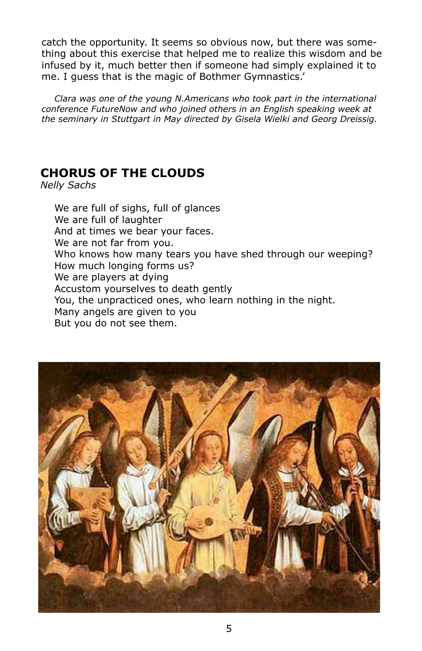catch the opportunity. It seems so obvious now, but there was something about this exercise that helped me to realize this wisdom and be infused by it, much better then if someone had simply explained it to me. I guess that is the magic of Bothmer Gymnastics.'

*Clara was one of the young N.Americans who took part in the international conference FutureNow and who joined others in an English speaking week at the seminary in Stuttgart in May directed by Gisela Wielki and Georg Dreissig.*

## **Chorus of the Clouds**

*Nelly Sachs*

We are full of sighs, full of glances We are full of laughter And at times we bear your faces. We are not far from you. Who knows how many tears you have shed through our weeping? How much longing forms us? We are players at dying Accustom yourselves to death gently You, the unpracticed ones, who learn nothing in the night. Many angels are given to you But you do not see them.

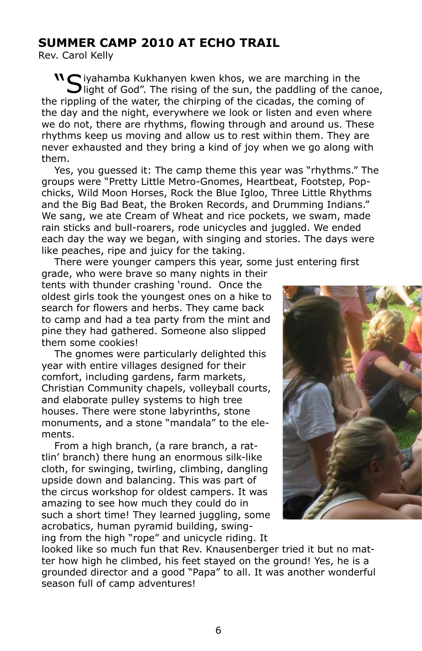## **SUMMER CAMP 2010 AT ECHO TRAIL**

Rev. Carol Kelly

 $\mathbf{N}$  iyahamba Kukhanyen kwen khos, we are marching in the **J** light of God". The rising of the sun, the paddling of the canoe, the rippling of the water, the chirping of the cicadas, the coming of the day and the night, everywhere we look or listen and even where we do not, there are rhythms, flowing through and around us. These rhythms keep us moving and allow us to rest within them. They are never exhausted and they bring a kind of joy when we go along with them.

Yes, you guessed it: The camp theme this year was "rhythms." The groups were "Pretty Little Metro-Gnomes, Heartbeat, Footstep, Popchicks, Wild Moon Horses, Rock the Blue Igloo, Three Little Rhythms and the Big Bad Beat, the Broken Records, and Drumming Indians." We sang, we ate Cream of Wheat and rice pockets, we swam, made rain sticks and bull-roarers, rode unicycles and juggled. We ended each day the way we began, with singing and stories. The days were like peaches, ripe and juicy for the taking.

There were younger campers this year, some just entering first

grade, who were brave so many nights in their tents with thunder crashing 'round. Once the oldest girls took the youngest ones on a hike to search for flowers and herbs. They came back to camp and had a tea party from the mint and pine they had gathered. Someone also slipped them some cookies!

The gnomes were particularly delighted this year with entire villages designed for their comfort, including gardens, farm markets, Christian Community chapels, volleyball courts, and elaborate pulley systems to high tree houses. There were stone labyrinths, stone monuments, and a stone "mandala" to the elements.

From a high branch, (a rare branch, a rattlin' branch) there hung an enormous silk-like cloth, for swinging, twirling, climbing, dangling upside down and balancing. This was part of the circus workshop for oldest campers. It was amazing to see how much they could do in such a short time! They learned juggling, some acrobatics, human pyramid building, swinging from the high "rope" and unicycle riding. It



looked like so much fun that Rev. Knausenberger tried it but no matter how high he climbed, his feet stayed on the ground! Yes, he is a grounded director and a good "Papa" to all. It was another wonderful season full of camp adventures!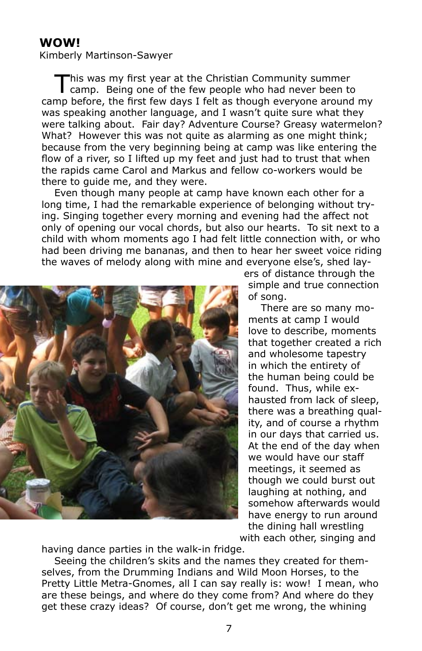## **Wow!**

Kimberly Martinson-Sawyer

This was my first year at the Christian Community summer camp. Being one of the few people who had never been to camp before, the first few days I felt as though everyone around my was speaking another language, and I wasn't quite sure what they were talking about. Fair day? Adventure Course? Greasy watermelon? What? However this was not quite as alarming as one might think; because from the very beginning being at camp was like entering the flow of a river, so I lifted up my feet and just had to trust that when the rapids came Carol and Markus and fellow co-workers would be there to guide me, and they were.

Even though many people at camp have known each other for a long time, I had the remarkable experience of belonging without trying. Singing together every morning and evening had the affect not only of opening our vocal chords, but also our hearts. To sit next to a child with whom moments ago I had felt little connection with, or who had been driving me bananas, and then to hear her sweet voice riding the waves of melody along with mine and everyone else's, shed lay-



ers of distance through the simple and true connection of song.

There are so many moments at camp I would love to describe, moments that together created a rich and wholesome tapestry in which the entirety of the human being could be found. Thus, while exhausted from lack of sleep, there was a breathing quality, and of course a rhythm in our days that carried us. At the end of the day when we would have our staff meetings, it seemed as though we could burst out laughing at nothing, and somehow afterwards would have energy to run around the dining hall wrestling with each other, singing and

having dance parties in the walk-in fridge.

Seeing the children's skits and the names they created for themselves, from the Drumming Indians and Wild Moon Horses, to the Pretty Little Metra-Gnomes, all I can say really is: wow! I mean, who are these beings, and where do they come from? And where do they get these crazy ideas? Of course, don't get me wrong, the whining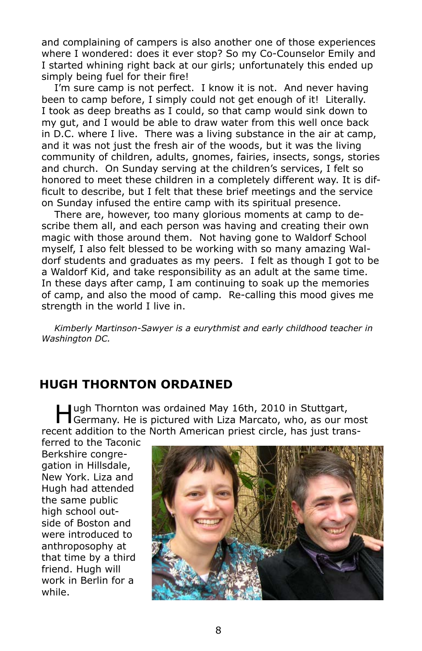and complaining of campers is also another one of those experiences where I wondered: does it ever stop? So my Co-Counselor Emily and I started whining right back at our girls; unfortunately this ended up simply being fuel for their fire!

I'm sure camp is not perfect. I know it is not. And never having been to camp before, I simply could not get enough of it! Literally. I took as deep breaths as I could, so that camp would sink down to my gut, and I would be able to draw water from this well once back in D.C. where I live. There was a living substance in the air at camp, and it was not just the fresh air of the woods, but it was the living community of children, adults, gnomes, fairies, insects, songs, stories and church. On Sunday serving at the children's services, I felt so honored to meet these children in a completely different way. It is difficult to describe, but I felt that these brief meetings and the service on Sunday infused the entire camp with its spiritual presence.

There are, however, too many glorious moments at camp to describe them all, and each person was having and creating their own magic with those around them. Not having gone to Waldorf School myself, I also felt blessed to be working with so many amazing Waldorf students and graduates as my peers. I felt as though I got to be a Waldorf Kid, and take responsibility as an adult at the same time. In these days after camp, I am continuing to soak up the memories of camp, and also the mood of camp. Re-calling this mood gives me strength in the world I live in.

*Kimberly Martinson-Sawyer is a eurythmist and early childhood teacher in Washington DC.*

## **HUGH THORNTON ORDAINED**

Hugh Thornton was ordained May 16th, 2010 in Stuttgart,<br>
Germany. He is pictured with Liza Marcato, who, as our most recent addition to the North American priest circle, has just trans-

ferred to the Taconic Berkshire congregation in Hillsdale, New York. Liza and Hugh had attended the same public high school outside of Boston and were introduced to anthroposophy at that time by a third friend. Hugh will work in Berlin for a while.

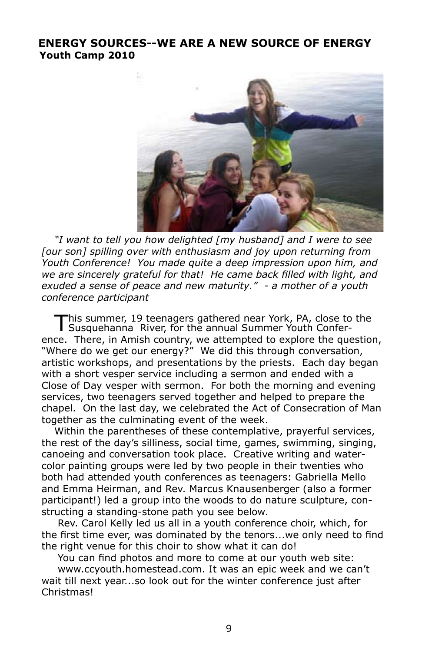#### **Energy Sources--we are a new source of energy Youth Camp 2010**



*"I want to tell you how delighted [my husband] and I were to see [our son] spilling over with enthusiasm and joy upon returning from Youth Conference! You made quite a deep impression upon him, and we are sincerely grateful for that! He came back filled with light, and exuded a sense of peace and new maturity." - a mother of a youth conference participant*

his summer, 19 teenagers gathered near York, PA, close to the Susquehanna River, for the annual Summer Youth Conference. There, in Amish country, we attempted to explore the question, "Where do we get our energy?" We did this through conversation, artistic workshops, and presentations by the priests. Each day began with a short vesper service including a sermon and ended with a Close of Day vesper with sermon. For both the morning and evening services, two teenagers served together and helped to prepare the chapel. On the last day, we celebrated the Act of Consecration of Man together as the culminating event of the week.

Within the parentheses of these contemplative, prayerful services, the rest of the day's silliness, social time, games, swimming, singing, canoeing and conversation took place. Creative writing and watercolor painting groups were led by two people in their twenties who both had attended youth conferences as teenagers: Gabriella Mello and Emma Heirman, and Rev. Marcus Knausenberger (also a former participant!) led a group into the woods to do nature sculpture, constructing a standing-stone path you see below.

 Rev. Carol Kelly led us all in a youth conference choir, which, for the first time ever, was dominated by the tenors...we only need to find the right venue for this choir to show what it can do!

You can find photos and more to come at our youth web site:

www.ccyouth.homestead.com. It was an epic week and we can't wait till next year...so look out for the winter conference just after Christmas!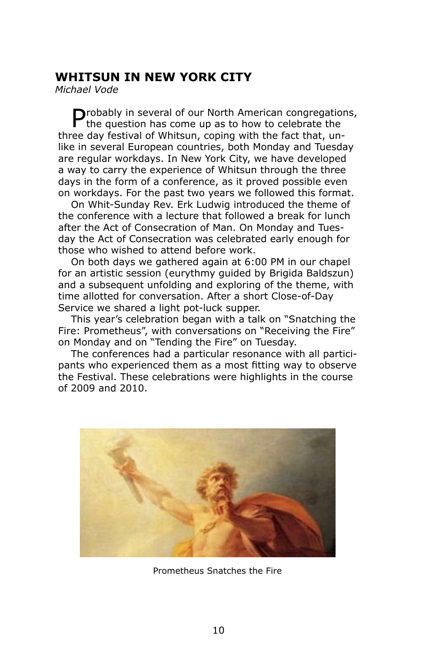## **WHITSUN IN NEW YORK CITY**

*Michael Vode* 

 $\bigcap$ robably in several of our North American congregations,  $\blacksquare$  the question has come up as to how to celebrate the three day festival of Whitsun, coping with the fact that, unlike in several European countries, both Monday and Tuesday are regular workdays. In New York City, we have developed a way to carry the experience of Whitsun through the three days in the form of a conference, as it proved possible even on workdays. For the past two years we followed this format.

On Whit-Sunday Rev. Erk Ludwig introduced the theme of the conference with a lecture that followed a break for lunch after the Act of Consecration of Man. On Monday and Tuesday the Act of Consecration was celebrated early enough for those who wished to attend before work.

On both days we gathered again at 6:00 PM in our chapel for an artistic session (eurythmy guided by Brigida Baldszun) and a subsequent unfolding and exploring of the theme, with time allotted for conversation. After a short Close-of-Day Service we shared a light pot-luck supper.

This year's celebration began with a talk on "Snatching the Fire: Prometheus", with conversations on "Receiving the Fire" on Monday and on "Tending the Fire" on Tuesday.

The conferences had a particular resonance with all participants who experienced them as a most fitting way to observe the Festival. These celebrations were highlights in the course of 2009 and 2010.



Prometheus Snatches the Fire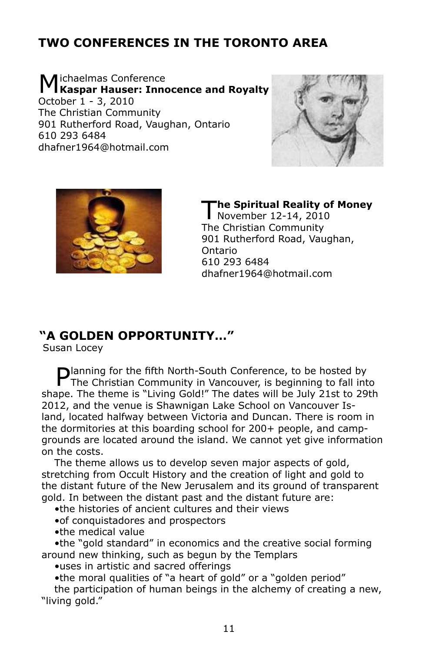## **TWO CONFERENCES IN THE TORONTO AREA**

Michaelmas Conference **Kaspar Hauser: Innocence and Royalty** October 1 - 3, 2010 The Christian Community 901 Rutherford Road, Vaughan, Ontario 610 293 6484 dhafner1964@hotmail.com





**The Spiritual Reality of Money** November 12-14, 2010 The Christian Community 901 Rutherford Road, Vaughan, Ontario 610 293 6484 dhafner1964@hotmail.com

#### **"A GOLDEN OPPORTUNITY…"**

Susan Locey

**Planning for the fifth North-South Conference, to be hosted by The Christian Community is 10** The Christian Community in Vancouver, is beginning to fall into shape. The theme is "Living Gold!" The dates will be July 21st to 29th 2012, and the venue is Shawnigan Lake School on Vancouver Island, located halfway between Victoria and Duncan. There is room in the dormitories at this boarding school for 200+ people, and campgrounds are located around the island. We cannot yet give information on the costs.

The theme allows us to develop seven major aspects of gold, stretching from Occult History and the creation of light and gold to the distant future of the New Jerusalem and its ground of transparent gold. In between the distant past and the distant future are:

•the histories of ancient cultures and their views

- •of conquistadores and prospectors
- •the medical value

•the "gold standard" in economics and the creative social forming around new thinking, such as begun by the Templars

•uses in artistic and sacred offerings

•the moral qualities of "a heart of gold" or a "golden period" the participation of human beings in the alchemy of creating a new,

"living gold."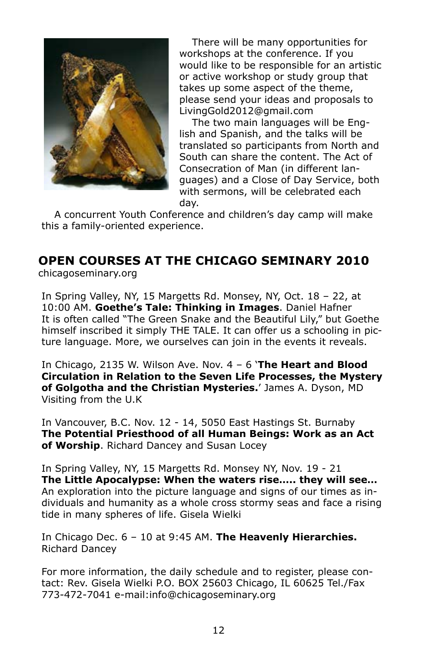

There will be many opportunities for workshops at the conference. If you would like to be responsible for an artistic or active workshop or study group that takes up some aspect of the theme, please send your ideas and proposals to LivingGold2012@gmail.com

The two main languages will be English and Spanish, and the talks will be translated so participants from North and South can share the content. The Act of Consecration of Man (in different languages) and a Close of Day Service, both with sermons, will be celebrated each day.

A concurrent Youth Conference and children's day camp will make this a family-oriented experience.

#### **Open Courses at the Chicago Seminary 2010** chicagoseminary.org

In Spring Valley, NY, 15 Margetts Rd. Monsey, NY, Oct. 18 – 22, at 10:00 AM. **Goethe's Tale: Thinking in Images**. Daniel Hafner It is often called "The Green Snake and the Beautiful Lily," but Goethe himself inscribed it simply THE TALE. It can offer us a schooling in picture language. More, we ourselves can join in the events it reveals.

In Chicago, 2135 W. Wilson Ave. Nov. 4 – 6 '**The Heart and Blood Circulation in Relation to the Seven Life Processes, the Mystery of Golgotha and the Christian Mysteries.**' James A. Dyson, MD Visiting from the U.K

In Vancouver, B.C. Nov. 12 - 14, 5050 East Hastings St. Burnaby **The Potential Priesthood of all Human Beings: Work as an Act of Worship**. Richard Dancey and Susan Locey

In Spring Valley, NY, 15 Margetts Rd. Monsey NY, Nov. 19 - 21 **The Little Apocalypse: When the waters rise….. they will see…**  An exploration into the picture language and signs of our times as individuals and humanity as a whole cross stormy seas and face a rising tide in many spheres of life. Gisela Wielki

In Chicago Dec. 6 – 10 at 9:45 AM. **The Heavenly Hierarchies.** Richard Dancey

For more information, the daily schedule and to register, please contact: Rev. Gisela Wielki P.O. BOX 25603 Chicago, IL 60625 Tel./Fax 773-472-7041 e-mail:info@chicagoseminary.org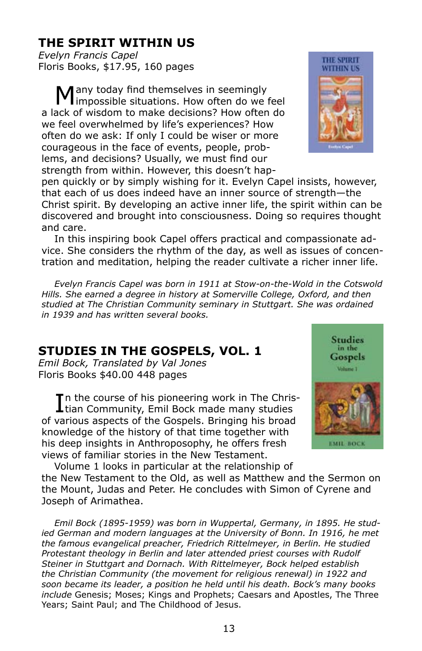## **THE SPIRIT WITHIN US**

*Evelyn Francis Capel* Floris Books, \$17.95, 160 pages

any today find themselves in seemingly I impossible situations. How often do we feel a lack of wisdom to make decisions? How often do we feel overwhelmed by life's experiences? How often do we ask: If only I could be wiser or more courageous in the face of events, people, problems, and decisions? Usually, we must find our strength from within. However, this doesn't hap-



pen quickly or by simply wishing for it. Evelyn Capel insists, however, that each of us does indeed have an inner source of strength—the Christ spirit. By developing an active inner life, the spirit within can be discovered and brought into consciousness. Doing so requires thought and care.

In this inspiring book Capel offers practical and compassionate advice. She considers the rhythm of the day, as well as issues of concentration and meditation, helping the reader cultivate a richer inner life.

*Evelyn Francis Capel was born in 1911 at Stow-on-the-Wold in the Cotswold Hills. She earned a degree in history at Somerville College, Oxford, and then studied at The Christian Community seminary in Stuttgart. She was ordained in 1939 and has written several books.*

## **STUDIES IN THE GOSPELS, VOL. 1**

*Emil Bock, Translated by Val Jones* Floris Books \$40.00 448 pages

In the course of his pioneering work in The Chris<br>Itian Community, Emil Bock made many studies **T** n the course of his pioneering work in The Chrisof various aspects of the Gospels. Bringing his broad knowledge of the history of that time together with his deep insights in Anthroposophy, he offers fresh views of familiar stories in the New Testament.



Volume 1 looks in particular at the relationship of the New Testament to the Old, as well as Matthew and the Sermon on the Mount, Judas and Peter. He concludes with Simon of Cyrene and Joseph of Arimathea.

*Emil Bock (1895-1959) was born in Wuppertal, Germany, in 1895. He studied German and modern languages at the University of Bonn. In 1916, he met the famous evangelical preacher, Friedrich Rittelmeyer, in Berlin. He studied Protestant theology in Berlin and later attended priest courses with Rudolf Steiner in Stuttgart and Dornach. With Rittelmeyer, Bock helped establish the Christian Community (the movement for religious renewal) in 1922 and soon became its leader, a position he held until his death. Bock's many books include* Genesis; Moses; Kings and Prophets; Caesars and Apostles, The Three Years; Saint Paul; and The Childhood of Jesus.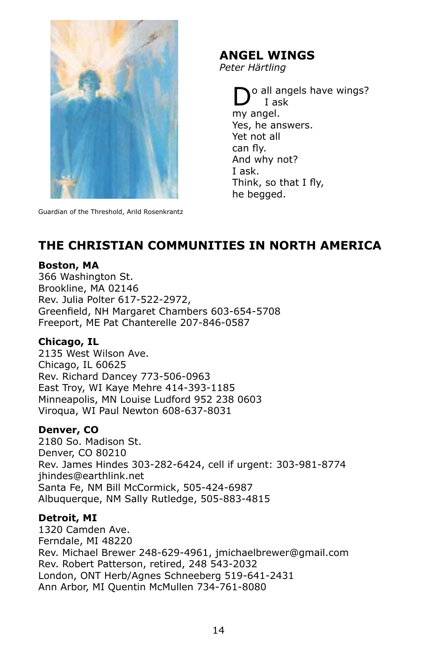

Guardian of the Threshold, Arild Rosenkrantz

## **Angel Wings**

*Peter Härtling*

o all angels have wings? I ask my angel. Yes, he answers. Yet not all can fly. And why not? I ask. Think, so that I fly, he begged.

## **THE CHRISTIAN COMMUNITIES IN NORTH AMERICA**

#### **Boston, MA**

366 Washington St. Brookline, MA 02146 Rev. Julia Polter 617-522-2972, Greenfield, NH Margaret Chambers 603-654-5708 Freeport, ME Pat Chanterelle 207-846-0587

#### **Chicago, IL**

2135 West Wilson Ave. Chicago, IL 60625 Rev. Richard Dancey 773-506-0963 East Troy, WI Kaye Mehre 414-393-1185 Minneapolis, MN Louise Ludford 952 238 0603 Viroqua, WI Paul Newton 608-637-8031

#### **Denver, CO**

2180 So. Madison St. Denver, CO 80210 Rev. James Hindes 303-282-6424, cell if urgent: 303-981-8774 jhindes@earthlink.net Santa Fe, NM Bill McCormick, 505-424-6987 Albuquerque, NM Sally Rutledge, 505-883-4815

#### **Detroit, MI**

1320 Camden Ave. Ferndale, MI 48220 Rev. Michael Brewer 248-629-4961, jmichaelbrewer@gmail.com Rev. Robert Patterson, retired, 248 543-2032 London, ONT Herb/Agnes Schneeberg 519-641-2431 Ann Arbor, MI Quentin McMullen 734-761-8080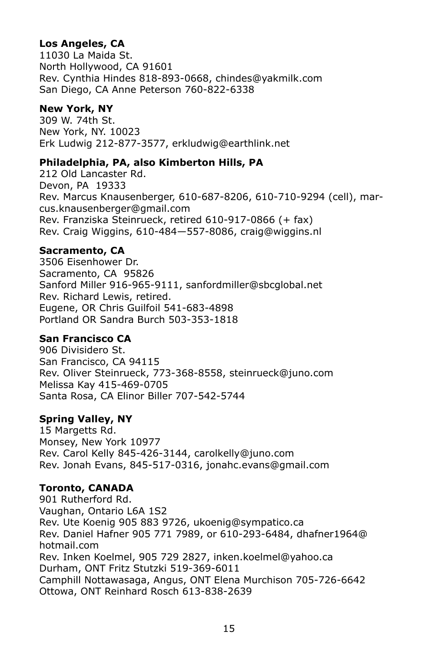#### **Los Angeles, CA**

11030 La Maida St. North Hollywood, CA 91601 Rev. Cynthia Hindes 818-893-0668, chindes@yakmilk.com San Diego, CA Anne Peterson 760-822-6338

#### **New York, NY**

309 W. 74th St. New York, NY. 10023 Erk Ludwig 212-877-3577, erkludwig@earthlink.net

#### **Philadelphia, PA, also Kimberton Hills, PA**

212 Old Lancaster Rd. Devon, PA 19333 Rev. Marcus Knausenberger, 610-687-8206, 610-710-9294 (cell), marcus.knausenberger@gmail.com Rev. Franziska Steinrueck, retired 610-917-0866 (+ fax) Rev. Craig Wiggins, 610-484—557-8086, craig@wiggins.nl

#### **Sacramento, CA**

3506 Eisenhower Dr. Sacramento, CA 95826 Sanford Miller 916-965-9111, sanfordmiller@sbcglobal.net Rev. Richard Lewis, retired. Eugene, OR Chris Guilfoil 541-683-4898 Portland OR Sandra Burch 503-353-1818

#### **San Francisco CA**

906 Divisidero St. San Francisco, CA 94115 Rev. Oliver Steinrueck, 773-368-8558, steinrueck@juno.com Melissa Kay 415-469-0705 Santa Rosa, CA Elinor Biller 707-542-5744

#### **Spring Valley, NY**

15 Margetts Rd. Monsey, New York 10977 Rev. Carol Kelly 845-426-3144, carolkelly@juno.com Rev. Jonah Evans, 845-517-0316, jonahc.evans@gmail.com

## **Toronto, CANADA**

901 Rutherford Rd. Vaughan, Ontario L6A 1S2 Rev. Ute Koenig 905 883 9726, ukoenig@sympatico.ca Rev. Daniel Hafner 905 771 7989, or 610-293-6484, dhafner1964@ hotmail.com Rev. Inken Koelmel, 905 729 2827, inken.koelmel@yahoo.ca Durham, ONT Fritz Stutzki 519-369-6011 Camphill Nottawasaga, Angus, ONT Elena Murchison 705-726-6642 Ottowa, ONT Reinhard Rosch 613-838-2639